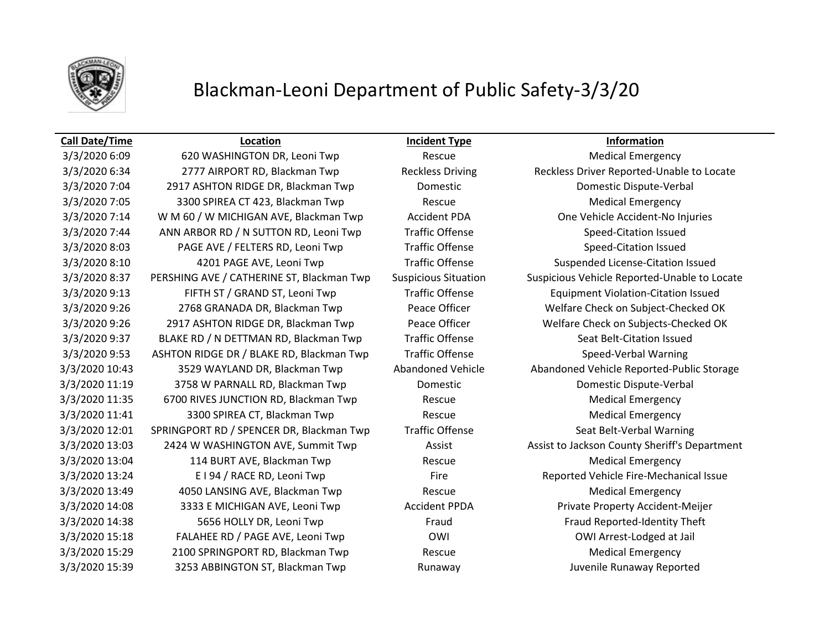

## Blackman-Leoni Department of Public Safety-3/3/20

### **Call Date/Time Location Incident Type Information**

3/3/2020 6:09 620 WASHINGTON DR, Leoni Twp Rescue Rescue Medical Emergency 3/3/2020 6:34 2777 AIRPORT RD, Blackman Twp Reckless Driving Reckless Driver Reported-Unable to Locate 3/3/2020 7:04 2917 ASHTON RIDGE DR, Blackman Twp Domestic Domestic Dispute-Verbal 3/3/2020 7:05 3300 SPIREA CT 423, Blackman Twp Rescue Medical Emergency 3/3/2020 7:14 W M 60 / W MICHIGAN AVE, Blackman Twp Accident PDA One Vehicle Accident-No Injuries 3/3/2020 7:44 ANN ARBOR RD / N SUTTON RD, Leoni Twp Traffic Offense Speed-Citation Issued 3/3/2020 8:03 PAGE AVE / FELTERS RD, Leoni Twp Traffic Offense Speed-Citation Issued 3/3/2020 8:10 4201 PAGE AVE, Leoni Twp Traffic Offense Suspended License-Citation Issued 3/3/2020 8:37 PERSHING AVE / CATHERINE ST, Blackman Twp Suspicious Situation Suspicious Vehicle Reported-Unable to Locate 3/3/2020 9:13 FIFTH ST / GRAND ST, Leoni Twp Traffic Offense Equipment Violation-Citation Issued 3/3/2020 9:26 2768 GRANADA DR, Blackman Twp Peace Officer Welfare Check on Subject-Checked OK 3/3/2020 9:26 2917 ASHTON RIDGE DR, Blackman Twp Peace Officer Welfare Check on Subjects-Checked OK 3/3/2020 9:37 BLAKE RD / N DETTMAN RD, Blackman Twp Traffic Offense Seat Belt-Citation Issued 3/3/2020 9:53 ASHTON RIDGE DR / BLAKE RD, Blackman Twp Traffic Offense Speed-Verbal Warning 3/3/2020 10:43 3529 WAYLAND DR, Blackman Twp Abandoned Vehicle Abandoned Vehicle Reported-Public Storage 3/3/2020 11:19 3758 W PARNALL RD, Blackman Twp Domestic Domestic Dispute-Verbal 3/3/2020 11:35 6700 RIVES JUNCTION RD, Blackman Twp Rescue Rescue Medical Emergency 3/3/2020 11:41 3300 SPIREA CT, Blackman Twp Rescue Rescue Medical Emergency 3/3/2020 12:01 SPRINGPORT RD / SPENCER DR, Blackman Twp Traffic Offense Seat Belt-Verbal Warning 3/3/2020 13:03 2424 W WASHINGTON AVE, Summit Twp Assist Assist Assist Assist to Jackson County Sheriff's Department 3/3/2020 13:04 114 BURT AVE, Blackman Twp Rescue Rescue Medical Emergency 3/3/2020 13:24 E I 94 / RACE RD, Leoni Twp Fire Fire Reported Vehicle Fire-Mechanical Issue 3/3/2020 13:49 4050 LANSING AVE, Blackman Twp Rescue Medical Emergency 3/3/2020 14:08 3333 E MICHIGAN AVE, Leoni Twp Accident PPDA Private Property Accident-Meijer 3/3/2020 14:38 5656 HOLLY DR, Leoni Twp Fraud Fraud Reported-Identity Theft 3/3/2020 15:18 FALAHEE RD / PAGE AVE, Leoni Twp OWI OWI COMI COMI Arrest-Lodged at Jail 3/3/2020 15:29 2100 SPRINGPORT RD, Blackman Twp Rescue Rescue Medical Emergency 3/3/2020 15:39 3253 ABBINGTON ST, Blackman Twp Runaway Juvenile Runaway Reported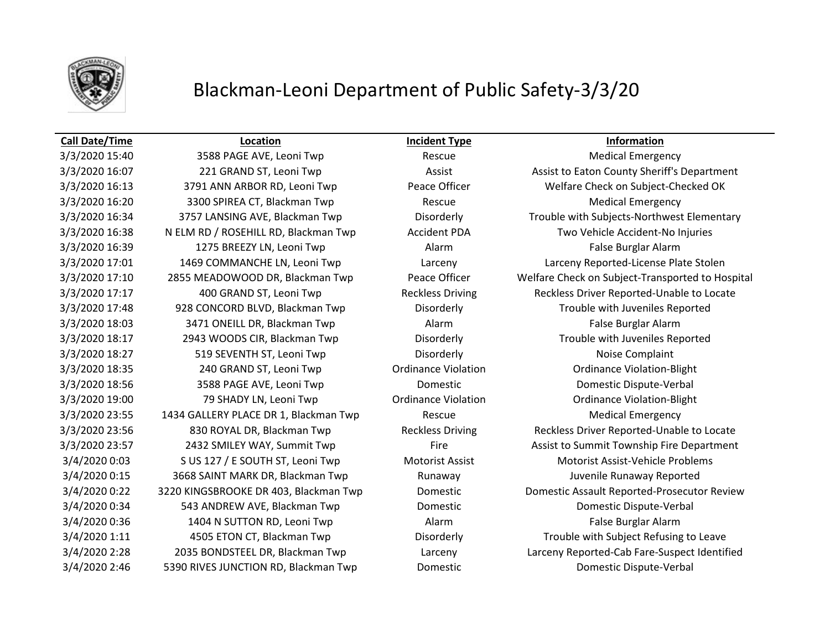

## Blackman-Leoni Department of Public Safety-3/3/20

3/3/2020 15:40 **3588 PAGE AVE, Leoni Twp** Rescue Rescue Medical Emergency 3/3/2020 16:20 3300 SPIREA CT, Blackman Twp Rescue Medical Emergency 3/3/2020 16:38 N ELM RD / ROSEHILL RD, Blackman Twp Accident PDA Two Vehicle Accident-No Injuries 3/3/2020 16:39 1275 BREEZY LN, Leoni Twp Alarm Alarm Alarm False Burglar Alarm 3/3/2020 17:48 928 CONCORD BLVD, Blackman Twp Disorderly Trouble with Juveniles Reported 3/3/2020 18:03 3471 ONEILL DR, Blackman Twp Alarm Alarm Alarm False Burglar Alarm 3/3/2020 18:17 2943 WOODS CIR, Blackman Twp Disorderly Trouble with Juveniles Reported 3/3/2020 18:27 519 SEVENTH ST, Leoni Twp Disorderly Disorderly Noise Complaint 3/3/2020 18:35 240 GRAND ST, Leoni Twp Ordinance Violation Ordinance Violation-Blight 3/3/2020 18:56 3588 PAGE AVE, Leoni Twp Domestic Domestic Dispute-Verbal 3/3/2020 19:00 79 SHADY LN, Leoni Twp Ordinance Violation Ordinance Violation-Blight 3/3/2020 23:55 1434 GALLERY PLACE DR 1, Blackman Twp Rescue Medical Emergency 3/4/2020 0:03 S US 127 / E SOUTH ST, Leoni Twp Motorist Assist Motorist Assist-Vehicle Problems 3/4/2020 0:15 3668 SAINT MARK DR, Blackman Twp **Runaway State Communist Constructs** Juvenile Runaway Reported 3/4/2020 0:34 543 ANDREW AVE, Blackman Twp Domestic Domestic Dispute-Verbal 3/4/2020 0:36 1404 N SUTTON RD, Leoni Twp Alarm Alarm False Burglar Alarm 3/4/2020 2:46 5390 RIVES JUNCTION RD, Blackman Twp Domestic Domestic Dispute-Verbal

**Call Date/Time Location Incident Type Information**

3/3/2020 16:07 221 GRAND ST, Leoni Twp Assist Assist Assist Assist to Eaton County Sheriff's Department 3/3/2020 16:13 3791 ANN ARBOR RD, Leoni Twp Peace Officer Welfare Check on Subject-Checked OK 3/3/2020 16:34 3757 LANSING AVE, Blackman Twp Disorderly Trouble with Subjects-Northwest Elementary 3/3/2020 17:01 1469 COMMANCHE LN, Leoni Twp Larceny Larceny Reported-License Plate Stolen 3/3/2020 17:10 2855 MEADOWOOD DR, Blackman Twp Peace Officer Welfare Check on Subject-Transported to Hospital 3/3/2020 17:17 400 GRAND ST, Leoni Twp Reckless Driving Reckless Driver Reported-Unable to Locate 3/3/2020 23:56 830 ROYAL DR, Blackman Twp Reckless Driving Reckless Driver Reported-Unable to Locate 3/3/2020 23:57 2432 SMILEY WAY, Summit Twp Fire Fire Assist to Summit Township Fire Department 3/4/2020 0:22 3220 KINGSBROOKE DR 403, Blackman Twp Domestic Domestic Assault Reported-Prosecutor Review 3/4/2020 1:11 4505 ETON CT, Blackman Twp Disorderly Trouble with Subject Refusing to Leave 3/4/2020 2:28 2035 BONDSTEEL DR, Blackman Twp Larceny Larceny Reported-Cab Fare-Suspect Identified